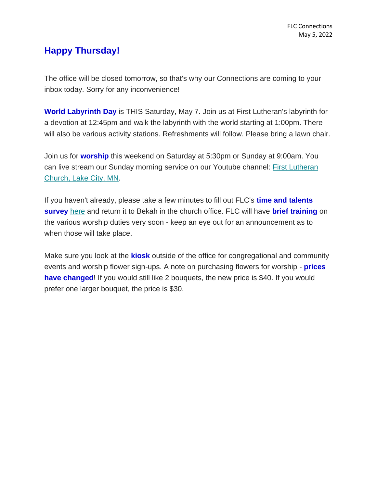## **Happy Thursday!**

The office will be closed tomorrow, so that's why our Connections are coming to your inbox today. Sorry for any inconvenience!

**World Labyrinth Day** is THIS Saturday, May 7. Join us at First Lutheran's labyrinth for a devotion at 12:45pm and walk the labyrinth with the world starting at 1:00pm. There will also be various activity stations. Refreshments will follow. Please bring a lawn chair.

Join us for **worship** this weekend on Saturday at 5:30pm or Sunday at 9:00am. You can live stream our Sunday morning service on our Youtube channel: [First Lutheran](https://www.youtube.com/channel/UC9XdNg_hQSX1DHMunNI8WQw)  [Church, Lake City, MN.](https://www.youtube.com/channel/UC9XdNg_hQSX1DHMunNI8WQw)

If you haven't already, please take a few minutes to fill out FLC's **time and talents survey** [here](https://mcusercontent.com/77c7c6d2c1cfcdf43b66ccb3d/files/aee83634-22d0-10d7-b9e5-037932c61b8a/Time_and_Talents_2022_PDF.pdf) and return it to Bekah in the church office. FLC will have **brief training** on the various worship duties very soon - keep an eye out for an announcement as to when those will take place.

Make sure you look at the **kiosk** outside of the office for congregational and community events and worship flower sign-ups. A note on purchasing flowers for worship - **prices have changed!** If you would still like 2 bouquets, the new price is \$40. If you would prefer one larger bouquet, the price is \$30.